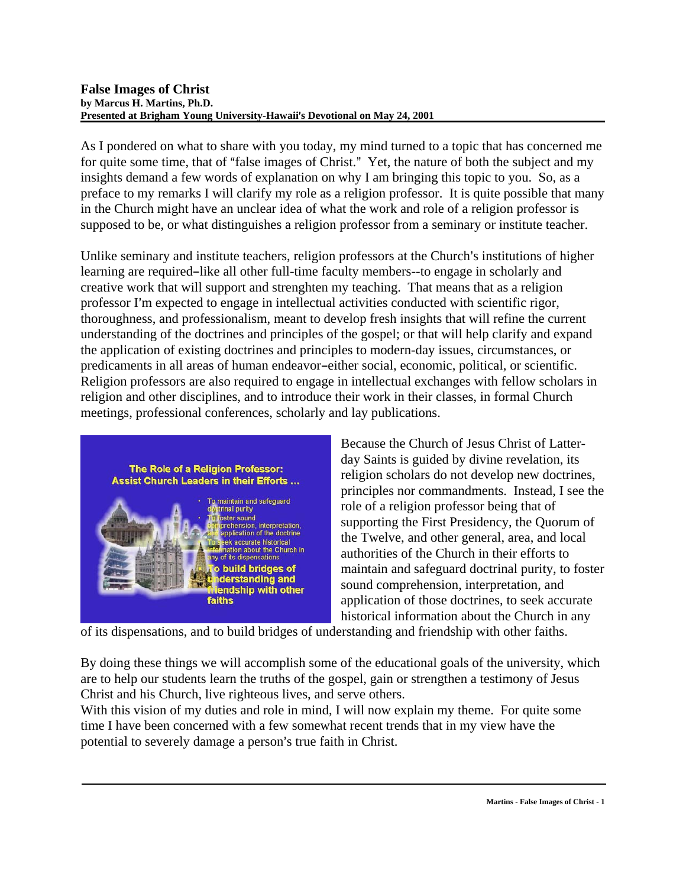#### **False Images of Christ by Marcus H. Martins, Ph.D. Presented at Brigham Young University-Hawaii's Devotional on May 24, 2001**

As I pondered on what to share with you today, my mind turned to a topic that has concerned me for quite some time, that of "false images of Christ." Yet, the nature of both the subject and my insights demand a few words of explanation on why I am bringing this topic to you. So, as a preface to my remarks I will clarify my role as a religion professor. It is quite possible that many in the Church might have an unclear idea of what the work and role of a religion professor is supposed to be, or what distinguishes a religion professor from a seminary or institute teacher.

Unlike seminary and institute teachers, religion professors at the Church's institutions of higher learning are required-like all other full-time faculty members--to engage in scholarly and creative work that will support and strenghten my teaching. That means that as a religion professor I'm expected to engage in intellectual activities conducted with scientific rigor, thoroughness, and professionalism, meant to develop fresh insights that will refine the current understanding of the doctrines and principles of the gospel; or that will help clarify and expand the application of existing doctrines and principles to modern-day issues, circumstances, or predicaments in all areas of human endeavor-either social, economic, political, or scientific. Religion professors are also required to engage in intellectual exchanges with fellow scholars in religion and other disciplines, and to introduce their work in their classes, in formal Church meetings, professional conferences, scholarly and lay publications.



Because the Church of Jesus Christ of Latterday Saints is guided by divine revelation, its religion scholars do not develop new doctrines, principles nor commandments. Instead, I see the role of a religion professor being that of supporting the First Presidency, the Quorum of the Twelve, and other general, area, and local authorities of the Church in their efforts to maintain and safeguard doctrinal purity, to foster sound comprehension, interpretation, and application of those doctrines, to seek accurate historical information about the Church in any

of its dispensations, and to build bridges of understanding and friendship with other faiths.

By doing these things we will accomplish some of the educational goals of the university, which are to help our students learn the truths of the gospel, gain or strengthen a testimony of Jesus Christ and his Church, live righteous lives, and serve others.

With this vision of my duties and role in mind, I will now explain my theme. For quite some time I have been concerned with a few somewhat recent trends that in my view have the potential to severely damage a person's true faith in Christ.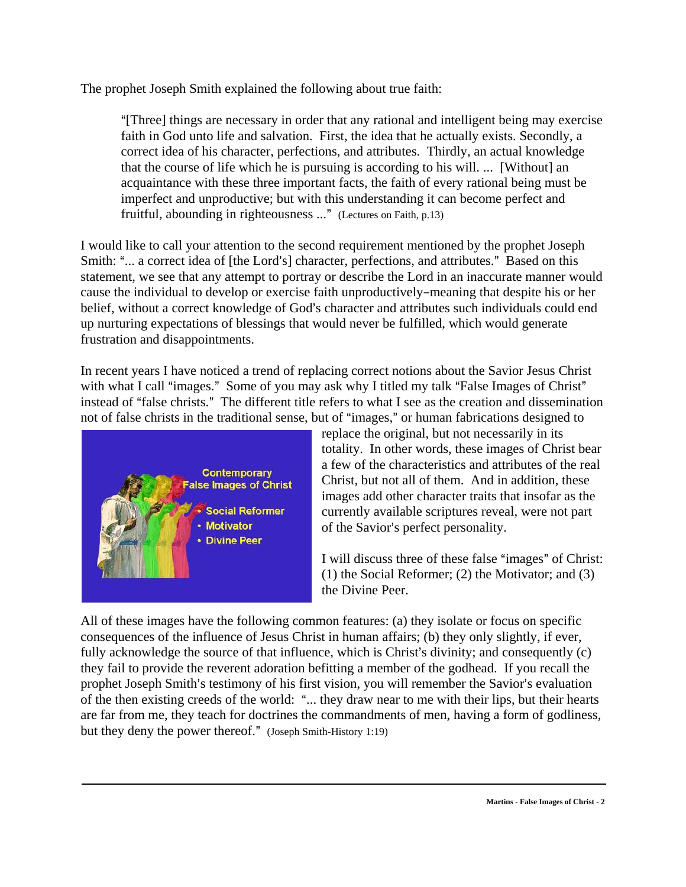The prophet Joseph Smith explained the following about true faith:

A[Three] things are necessary in order that any rational and intelligent being may exercise faith in God unto life and salvation. First, the idea that he actually exists. Secondly, a correct idea of his character, perfections, and attributes. Thirdly, an actual knowledge that the course of life which he is pursuing is according to his will. ... [Without] an acquaintance with these three important facts, the faith of every rational being must be imperfect and unproductive; but with this understanding it can become perfect and fruitful, abounding in righteousness ..." (Lectures on Faith, p.13)

I would like to call your attention to the second requirement mentioned by the prophet Joseph Smith: "... a correct idea of [the Lord's] character, perfections, and attributes." Based on this statement, we see that any attempt to portray or describe the Lord in an inaccurate manner would cause the individual to develop or exercise faith unproductively–meaning that despite his or her belief, without a correct knowledge of God's character and attributes such individuals could end up nurturing expectations of blessings that would never be fulfilled, which would generate frustration and disappointments.

In recent years I have noticed a trend of replacing correct notions about the Savior Jesus Christ with what I call "images." Some of you may ask why I titled my talk "False Images of Christ" instead of "false christs." The different title refers to what I see as the creation and dissemination not of false christs in the traditional sense, but of "images," or human fabrications designed to



replace the original, but not necessarily in its totality. In other words, these images of Christ bear a few of the characteristics and attributes of the real Christ, but not all of them. And in addition, these images add other character traits that insofar as the currently available scriptures reveal, were not part of the Savior's perfect personality.

I will discuss three of these false "images" of Christ: (1) the Social Reformer; (2) the Motivator; and (3) the Divine Peer.

All of these images have the following common features: (a) they isolate or focus on specific consequences of the influence of Jesus Christ in human affairs; (b) they only slightly, if ever, fully acknowledge the source of that influence, which is Christ's divinity; and consequently  $(c)$ they fail to provide the reverent adoration befitting a member of the godhead. If you recall the prophet Joseph Smith's testimony of his first vision, you will remember the Savior's evaluation of the then existing creeds of the world: "... they draw near to me with their lips, but their hearts are far from me, they teach for doctrines the commandments of men, having a form of godliness, but they deny the power thereof." (Joseph Smith-History 1:19)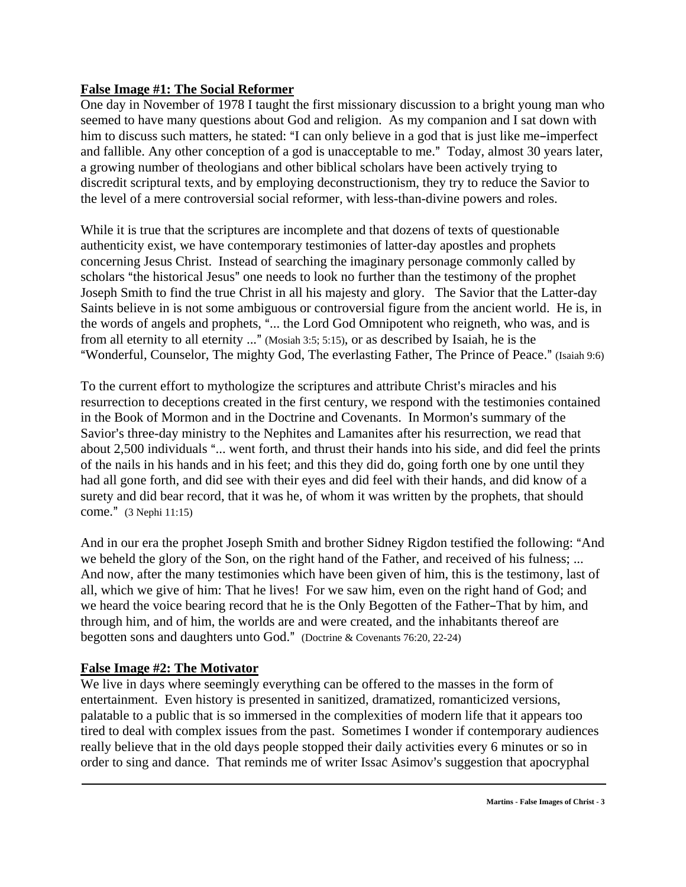### **False Image #1: The Social Reformer**

One day in November of 1978 I taught the first missionary discussion to a bright young man who seemed to have many questions about God and religion. As my companion and I sat down with him to discuss such matters, he stated: "I can only believe in a god that is just like me-imperfect and fallible. Any other conception of a god is unacceptable to me." Today, almost 30 years later, a growing number of theologians and other biblical scholars have been actively trying to discredit scriptural texts, and by employing deconstructionism, they try to reduce the Savior to the level of a mere controversial social reformer, with less-than-divine powers and roles.

While it is true that the scriptures are incomplete and that dozens of texts of questionable authenticity exist, we have contemporary testimonies of latter-day apostles and prophets concerning Jesus Christ. Instead of searching the imaginary personage commonly called by scholars "the historical Jesus" one needs to look no further than the testimony of the prophet Joseph Smith to find the true Christ in all his majesty and glory. The Savior that the Latter-day Saints believe in is not some ambiguous or controversial figure from the ancient world. He is, in the words of angels and prophets, "... the Lord God Omnipotent who reigneth, who was, and is from all eternity to all eternity  $\ldots$ " (Mosiah 3:5; 5:15), or as described by Isaiah, he is the "Wonderful, Counselor, The mighty God, The everlasting Father, The Prince of Peace." (Isaiah 9:6)

To the current effort to mythologize the scriptures and attribute Christ's miracles and his resurrection to deceptions created in the first century, we respond with the testimonies contained in the Book of Mormon and in the Doctrine and Covenants. In Mormon's summary of the Savior's three-day ministry to the Nephites and Lamanites after his resurrection, we read that about 2,500 individuals "... went forth, and thrust their hands into his side, and did feel the prints of the nails in his hands and in his feet; and this they did do, going forth one by one until they had all gone forth, and did see with their eyes and did feel with their hands, and did know of a surety and did bear record, that it was he, of whom it was written by the prophets, that should come." (3 Nephi 11:15)

And in our era the prophet Joseph Smith and brother Sidney Rigdon testified the following: "And we beheld the glory of the Son, on the right hand of the Father, and received of his fulness; ... And now, after the many testimonies which have been given of him, this is the testimony, last of all, which we give of him: That he lives! For we saw him, even on the right hand of God; and we heard the voice bearing record that he is the Only Begotten of the Father-That by him, and through him, and of him, the worlds are and were created, and the inhabitants thereof are begotten sons and daughters unto God." (Doctrine & Covenants 76:20, 22-24)

# **False Image #2: The Motivator**

We live in days where seemingly everything can be offered to the masses in the form of entertainment. Even history is presented in sanitized, dramatized, romanticized versions, palatable to a public that is so immersed in the complexities of modern life that it appears too tired to deal with complex issues from the past. Sometimes I wonder if contemporary audiences really believe that in the old days people stopped their daily activities every 6 minutes or so in order to sing and dance. That reminds me of writer Issac Asimov's suggestion that apocryphal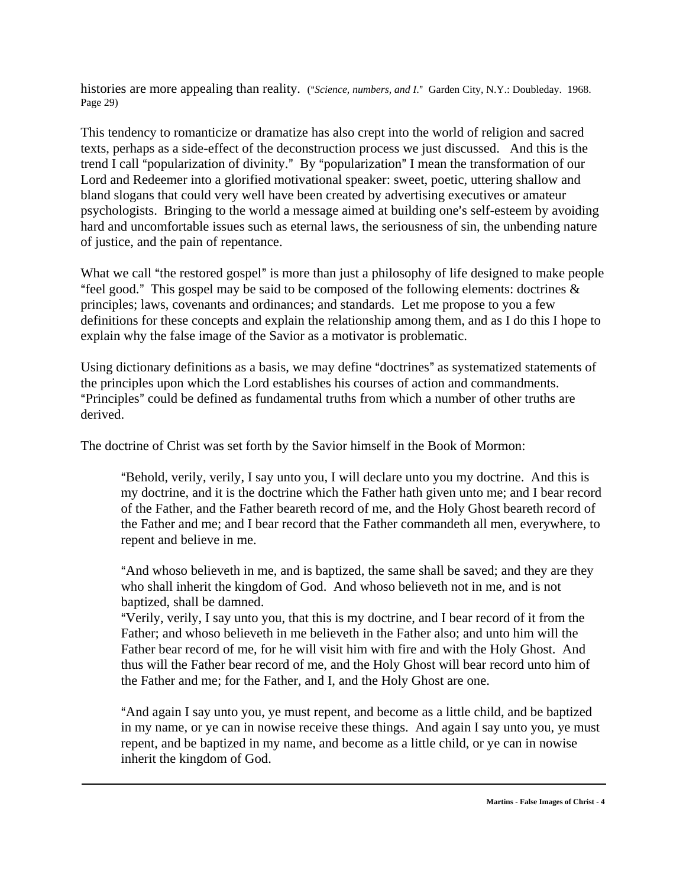histories are more appealing than reality. ("Science, numbers, and I." Garden City, N.Y.: Doubleday. 1968. Page 29)

This tendency to romanticize or dramatize has also crept into the world of religion and sacred texts, perhaps as a side-effect of the deconstruction process we just discussed. And this is the trend I call "popularization of divinity." By "popularization" I mean the transformation of our Lord and Redeemer into a glorified motivational speaker: sweet, poetic, uttering shallow and bland slogans that could very well have been created by advertising executives or amateur psychologists. Bringing to the world a message aimed at building one's self-esteem by avoiding hard and uncomfortable issues such as eternal laws, the seriousness of sin, the unbending nature of justice, and the pain of repentance.

What we call "the restored gospel" is more than just a philosophy of life designed to make people "feel good." This gospel may be said to be composed of the following elements: doctrines  $\&$ principles; laws, covenants and ordinances; and standards. Let me propose to you a few definitions for these concepts and explain the relationship among them, and as I do this I hope to explain why the false image of the Savior as a motivator is problematic.

Using dictionary definitions as a basis, we may define "doctrines" as systematized statements of the principles upon which the Lord establishes his courses of action and commandments. "Principles" could be defined as fundamental truths from which a number of other truths are derived.

The doctrine of Christ was set forth by the Savior himself in the Book of Mormon:

"Behold, verily, verily, I say unto you, I will declare unto you my doctrine. And this is my doctrine, and it is the doctrine which the Father hath given unto me; and I bear record of the Father, and the Father beareth record of me, and the Holy Ghost beareth record of the Father and me; and I bear record that the Father commandeth all men, everywhere, to repent and believe in me.

"And whoso believeth in me, and is baptized, the same shall be saved; and they are they who shall inherit the kingdom of God. And whoso believeth not in me, and is not baptized, shall be damned.

"Verily, verily, I say unto you, that this is my doctrine, and I bear record of it from the Father; and whoso believeth in me believeth in the Father also; and unto him will the Father bear record of me, for he will visit him with fire and with the Holy Ghost. And thus will the Father bear record of me, and the Holy Ghost will bear record unto him of the Father and me; for the Father, and I, and the Holy Ghost are one.

And again I say unto you, ye must repent, and become as a little child, and be baptized in my name, or ye can in nowise receive these things. And again I say unto you, ye must repent, and be baptized in my name, and become as a little child, or ye can in nowise inherit the kingdom of God.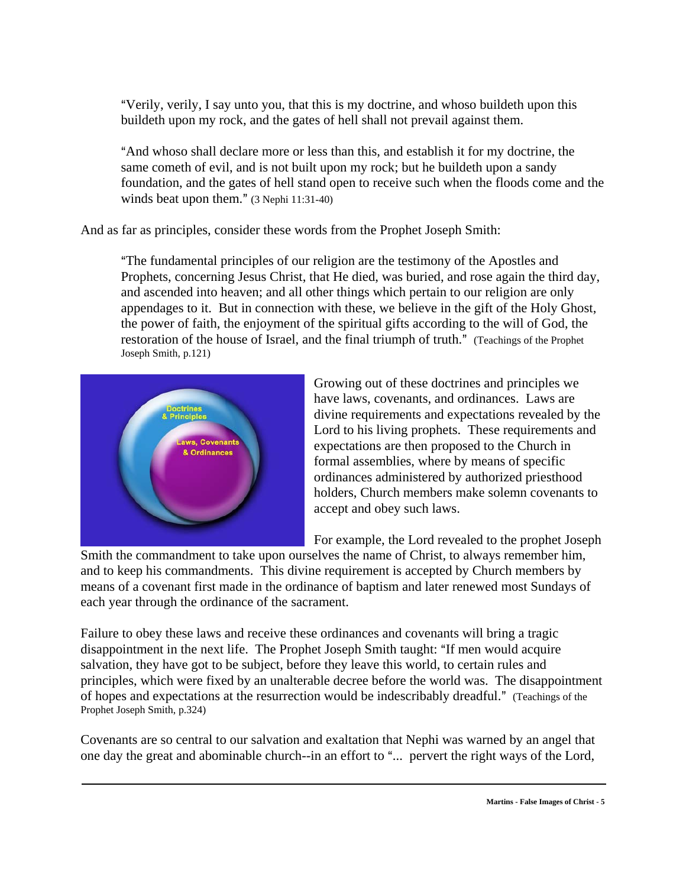"Verily, verily, I say unto you, that this is my doctrine, and whoso buildeth upon this buildeth upon my rock, and the gates of hell shall not prevail against them.

And whoso shall declare more or less than this, and establish it for my doctrine, the same cometh of evil, and is not built upon my rock; but he buildeth upon a sandy foundation, and the gates of hell stand open to receive such when the floods come and the winds beat upon them."  $(3$  Nephi 11:31-40)

And as far as principles, consider these words from the Prophet Joseph Smith:

AThe fundamental principles of our religion are the testimony of the Apostles and Prophets, concerning Jesus Christ, that He died, was buried, and rose again the third day, and ascended into heaven; and all other things which pertain to our religion are only appendages to it. But in connection with these, we believe in the gift of the Holy Ghost, the power of faith, the enjoyment of the spiritual gifts according to the will of God, the restoration of the house of Israel, and the final triumph of truth." (Teachings of the Prophet Joseph Smith, p.121)



Growing out of these doctrines and principles we have laws, covenants, and ordinances. Laws are divine requirements and expectations revealed by the Lord to his living prophets. These requirements and expectations are then proposed to the Church in formal assemblies, where by means of specific ordinances administered by authorized priesthood holders, Church members make solemn covenants to accept and obey such laws.

For example, the Lord revealed to the prophet Joseph

Smith the commandment to take upon ourselves the name of Christ, to always remember him, and to keep his commandments. This divine requirement is accepted by Church members by means of a covenant first made in the ordinance of baptism and later renewed most Sundays of each year through the ordinance of the sacrament.

Failure to obey these laws and receive these ordinances and covenants will bring a tragic disappointment in the next life. The Prophet Joseph Smith taught: "If men would acquire salvation, they have got to be subject, before they leave this world, to certain rules and principles, which were fixed by an unalterable decree before the world was. The disappointment of hopes and expectations at the resurrection would be indescribably dreadful." (Teachings of the Prophet Joseph Smith, p.324)

Covenants are so central to our salvation and exaltation that Nephi was warned by an angel that one day the great and abominable church--in an effort to "... pervert the right ways of the Lord,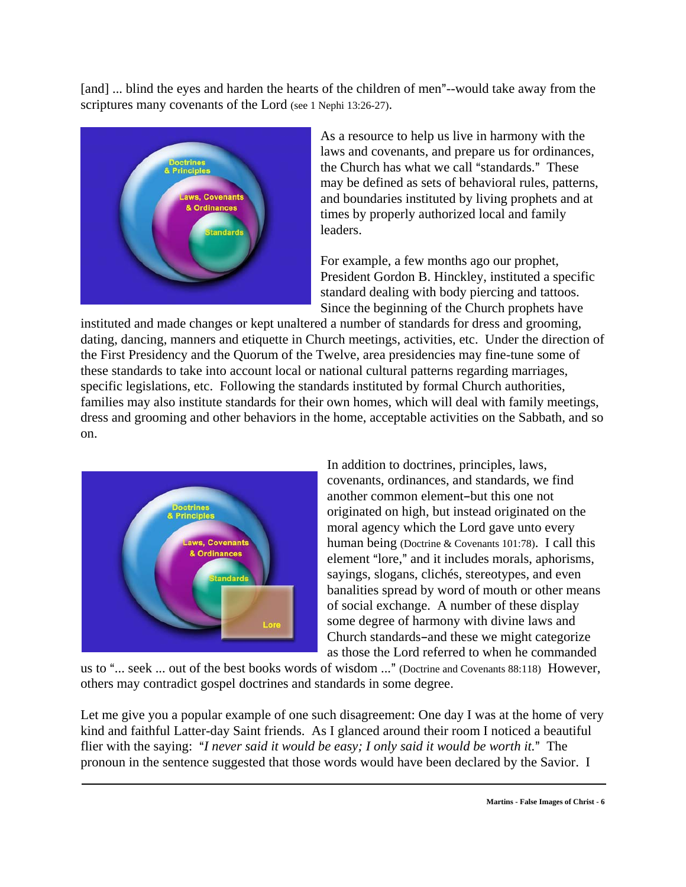[and] ... blind the eyes and harden the hearts of the children of men"--would take away from the scriptures many covenants of the Lord (see 1 Nephi 13:26-27).



As a resource to help us live in harmony with the laws and covenants, and prepare us for ordinances, the Church has what we call "standards." These may be defined as sets of behavioral rules, patterns, and boundaries instituted by living prophets and at times by properly authorized local and family leaders.

For example, a few months ago our prophet, President Gordon B. Hinckley, instituted a specific standard dealing with body piercing and tattoos. Since the beginning of the Church prophets have

instituted and made changes or kept unaltered a number of standards for dress and grooming, dating, dancing, manners and etiquette in Church meetings, activities, etc. Under the direction of the First Presidency and the Quorum of the Twelve, area presidencies may fine-tune some of these standards to take into account local or national cultural patterns regarding marriages, specific legislations, etc. Following the standards instituted by formal Church authorities, families may also institute standards for their own homes, which will deal with family meetings, dress and grooming and other behaviors in the home, acceptable activities on the Sabbath, and so on.



In addition to doctrines, principles, laws, covenants, ordinances, and standards, we find another common element-but this one not originated on high, but instead originated on the moral agency which the Lord gave unto every human being (Doctrine & Covenants 101:78). I call this element "lore," and it includes morals, aphorisms, sayings, slogans, clichés, stereotypes, and even banalities spread by word of mouth or other means of social exchange. A number of these display some degree of harmony with divine laws and Church standards-and these we might categorize as those the Lord referred to when he commanded

us to "... seek ... out of the best books words of wisdom ..." (Doctrine and Covenants 88:118) However, others may contradict gospel doctrines and standards in some degree.

Let me give you a popular example of one such disagreement: One day I was at the home of very kind and faithful Latter-day Saint friends. As I glanced around their room I noticed a beautiful flier with the saying: "*I never said it would be easy; I only said it would be worth it.*" The pronoun in the sentence suggested that those words would have been declared by the Savior. I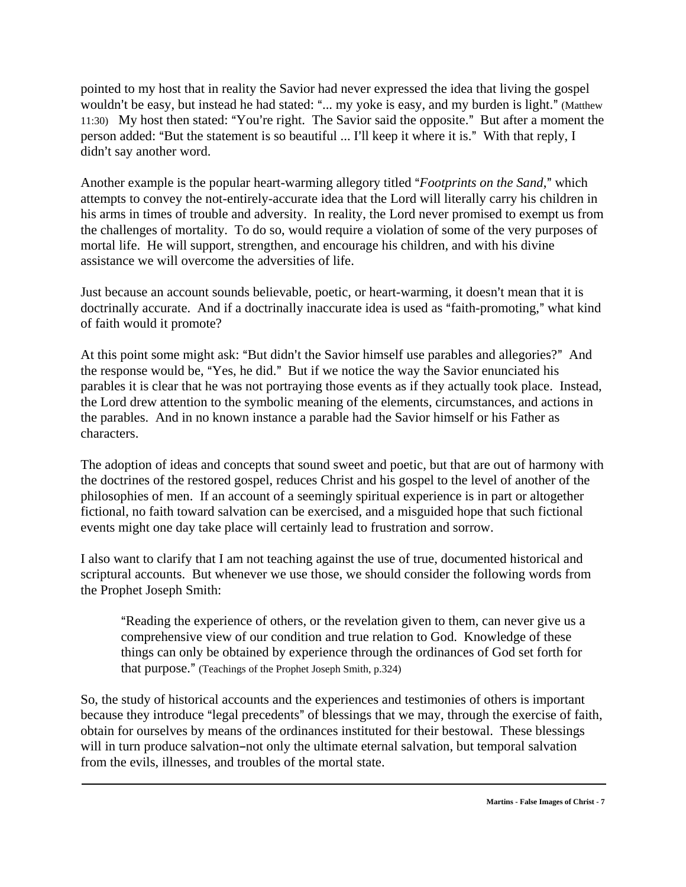pointed to my host that in reality the Savior had never expressed the idea that living the gospel wouldn't be easy, but instead he had stated: "... my yoke is easy, and my burden is light." (Matthew 11:30) My host then stated: "You're right. The Savior said the opposite." But after a moment the person added: "But the statement is so beautiful ... I'll keep it where it is." With that reply, I didn't say another word.

Another example is the popular heart-warming allegory titled "*Footprints on the Sand*," which attempts to convey the not-entirely-accurate idea that the Lord will literally carry his children in his arms in times of trouble and adversity. In reality, the Lord never promised to exempt us from the challenges of mortality. To do so, would require a violation of some of the very purposes of mortal life. He will support, strengthen, and encourage his children, and with his divine assistance we will overcome the adversities of life.

Just because an account sounds believable, poetic, or heart-warming, it doesn't mean that it is doctrinally accurate. And if a doctrinally inaccurate idea is used as "faith-promoting," what kind of faith would it promote?

At this point some might ask: "But didn't the Savior himself use parables and allegories?" And the response would be, "Yes, he did." But if we notice the way the Savior enunciated his parables it is clear that he was not portraying those events as if they actually took place. Instead, the Lord drew attention to the symbolic meaning of the elements, circumstances, and actions in the parables. And in no known instance a parable had the Savior himself or his Father as characters.

The adoption of ideas and concepts that sound sweet and poetic, but that are out of harmony with the doctrines of the restored gospel, reduces Christ and his gospel to the level of another of the philosophies of men. If an account of a seemingly spiritual experience is in part or altogether fictional, no faith toward salvation can be exercised, and a misguided hope that such fictional events might one day take place will certainly lead to frustration and sorrow.

I also want to clarify that I am not teaching against the use of true, documented historical and scriptural accounts. But whenever we use those, we should consider the following words from the Prophet Joseph Smith:

"Reading the experience of others, or the revelation given to them, can never give us a comprehensive view of our condition and true relation to God. Knowledge of these things can only be obtained by experience through the ordinances of God set forth for that purpose." (Teachings of the Prophet Joseph Smith, p.324)

So, the study of historical accounts and the experiences and testimonies of others is important because they introduce "legal precedents" of blessings that we may, through the exercise of faith, obtain for ourselves by means of the ordinances instituted for their bestowal. These blessings will in turn produce salvation-not only the ultimate eternal salvation, but temporal salvation from the evils, illnesses, and troubles of the mortal state.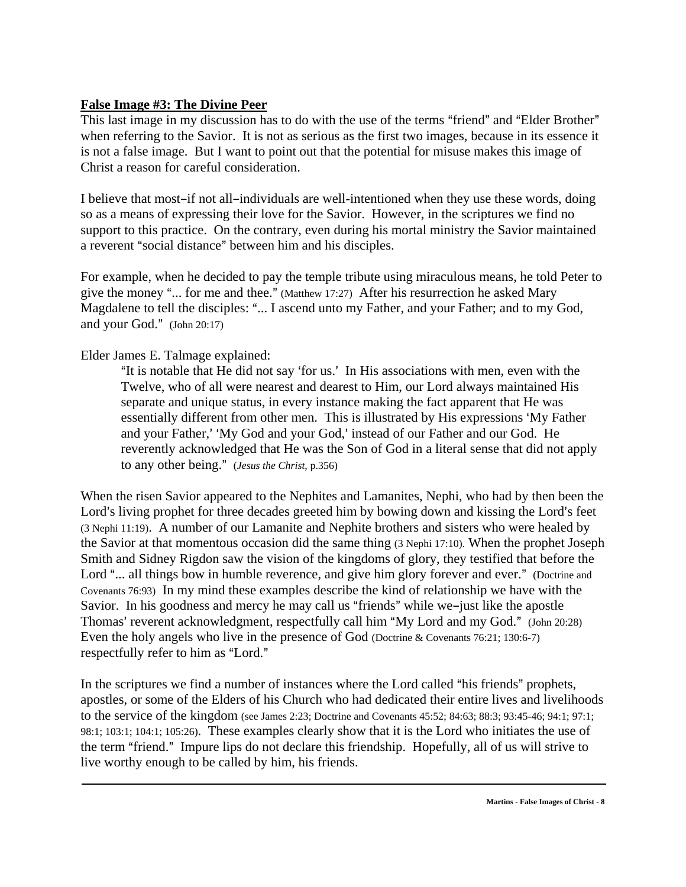### **False Image #3: The Divine Peer**

This last image in my discussion has to do with the use of the terms "friend" and "Elder Brother" when referring to the Savior. It is not as serious as the first two images, because in its essence it is not a false image. But I want to point out that the potential for misuse makes this image of Christ a reason for careful consideration.

I believe that most-if not all-individuals are well-intentioned when they use these words, doing so as a means of expressing their love for the Savior. However, in the scriptures we find no support to this practice. On the contrary, even during his mortal ministry the Savior maintained a reverent "social distance" between him and his disciples.

For example, when he decided to pay the temple tribute using miraculous means, he told Peter to give the money "... for me and thee." (Matthew 17:27) After his resurrection he asked Mary Magdalene to tell the disciples: "... I ascend unto my Father, and your Father; and to my God, and your God."  $(John 20:17)$ 

## Elder James E. Talmage explained:

"It is notable that He did not say 'for us.' In His associations with men, even with the Twelve, who of all were nearest and dearest to Him, our Lord always maintained His separate and unique status, in every instance making the fact apparent that He was essentially different from other men. This is illustrated by His expressions 'My Father' and your Father,' 'My God and your God,' instead of our Father and our God. He reverently acknowledged that He was the Son of God in a literal sense that did not apply to any other being." (*Jesus the Christ*, p.356)

When the risen Savior appeared to the Nephites and Lamanites, Nephi, who had by then been the Lord's living prophet for three decades greeted him by bowing down and kissing the Lord's feet (3 Nephi 11:19). A number of our Lamanite and Nephite brothers and sisters who were healed by the Savior at that momentous occasion did the same thing (3 Nephi 17:10). When the prophet Joseph Smith and Sidney Rigdon saw the vision of the kingdoms of glory, they testified that before the Lord "... all things bow in humble reverence, and give him glory forever and ever." (Doctrine and Covenants 76:93) In my mind these examples describe the kind of relationship we have with the Savior. In his goodness and mercy he may call us "friends" while we-just like the apostle Thomas' reverent acknowledgment, respectfully call him "My Lord and my God." (John 20:28) Even the holy angels who live in the presence of God (Doctrine & Covenants 76:21; 130:6-7) respectfully refer to him as "Lord."

In the scriptures we find a number of instances where the Lord called "his friends" prophets, apostles, or some of the Elders of his Church who had dedicated their entire lives and livelihoods to the service of the kingdom (see James 2:23; Doctrine and Covenants 45:52; 84:63; 88:3; 93:45-46; 94:1; 97:1; 98:1; 103:1; 104:1; 105:26). These examples clearly show that it is the Lord who initiates the use of the term "friend." Impure lips do not declare this friendship. Hopefully, all of us will strive to live worthy enough to be called by him, his friends.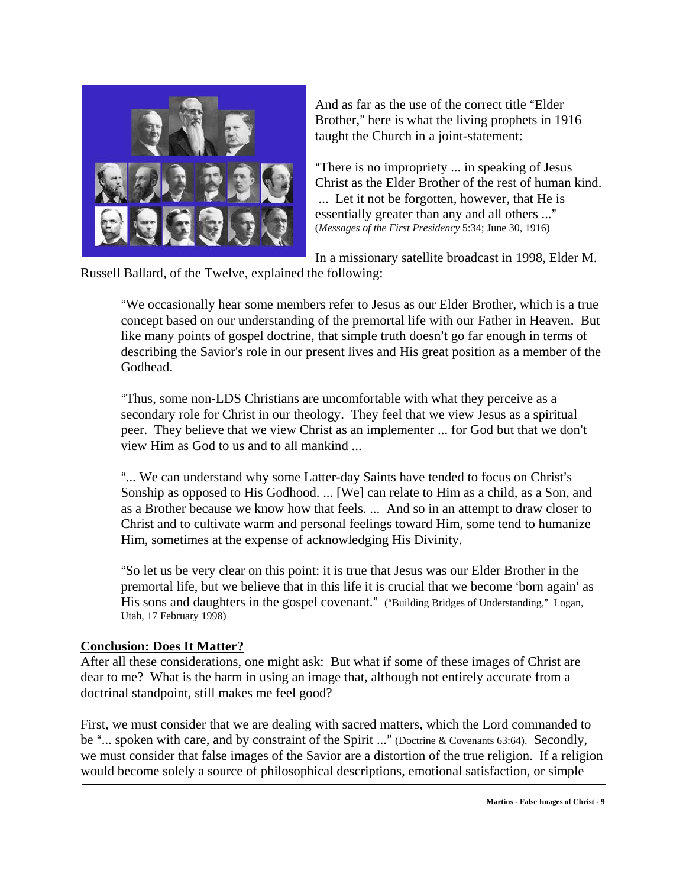

And as far as the use of the correct title "Elder" Brother," here is what the living prophets in 1916 taught the Church in a joint-statement:

"There is no impropriety ... in speaking of Jesus Christ as the Elder Brother of the rest of human kind. ... Let it not be forgotten, however, that He is essentially greater than any and all others ..."<br>(*Messages of the First Presidency* 5:34; June 30, 1916)

In a missionary satellite broadcast in 1998, Elder M.

Russell Ballard, of the Twelve, explained the following:

"We occasionally hear some members refer to Jesus as our Elder Brother, which is a true concept based on our understanding of the premortal life with our Father in Heaven. But like many points of gospel doctrine, that simple truth doesn't go far enough in terms of describing the Savior's role in our present lives and His great position as a member of the Godhead.

"Thus, some non-LDS Christians are uncomfortable with what they perceive as a secondary role for Christ in our theology. They feel that we view Jesus as a spiritual peer. They believe that we view Christ as an implementer ... for God but that we don't view Him as God to us and to all mankind ...

"... We can understand why some Latter-day Saints have tended to focus on Christ's Sonship as opposed to His Godhood. ... [We] can relate to Him as a child, as a Son, and as a Brother because we know how that feels. ... And so in an attempt to draw closer to Christ and to cultivate warm and personal feelings toward Him, some tend to humanize Him, sometimes at the expense of acknowledging His Divinity.

ASo let us be very clear on this point: it is true that Jesus was our Elder Brother in the premortal life, but we believe that in this life it is crucial that we become 'born again' as His sons and daughters in the gospel covenant." ("Building Bridges of Understanding," Logan, Utah, 17 February 1998)

#### **Conclusion: Does It Matter?**

After all these considerations, one might ask: But what if some of these images of Christ are dear to me? What is the harm in using an image that, although not entirely accurate from a doctrinal standpoint, still makes me feel good?

First, we must consider that we are dealing with sacred matters, which the Lord commanded to be "... spoken with care, and by constraint of the Spirit ..." (Doctrine & Covenants 63:64). Secondly, we must consider that false images of the Savior are a distortion of the true religion. If a religion would become solely a source of philosophical descriptions, emotional satisfaction, or simple